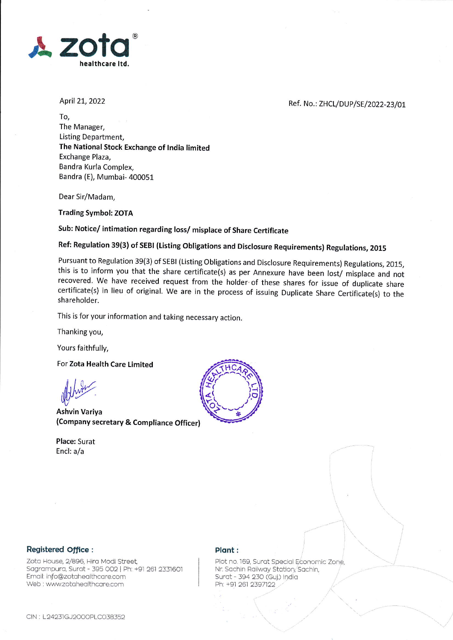

April 21, 2022

Ref. No.: ZHCL/DUP/SE/2022-23/01

To, The Manager, Listing Department, The National Stock Exchange of lndia limited Exchange Plaza, Bandra Kurla Complex, Bandra (E), Mumbai- 400051

Dear Sir/Madam,

Trading Symbol: ZOTA

## Sub: Notice/ intimation regarding loss/ misplace of Share Certificate

# Ref: Regulation 39(3) of SEBl (Listing obligations and Disclosure Requirements) Regulations, zo15

Pursuant to Regulation 39(3) of SEBI (Listing Obligations and Disclosure Requirements) Regulations, 2015, this is to inform you that the share certificate(s) as per Annexure have been lost/ misplace and not recovered. We have received request from the holder of these shares for issue of duplicate share certificate(s) in lieu of original. We are in the process of issuing Duplicate Share Certificate(s) to the shareholder.

This is for your information and taking necessary action.

Thanking you,

Yours faithfully,

For Zota Health Care Limited

Ashvin Variya (Company secretary & Compliance Officer)

Place: Surat Encl: a/a



#### Registered Office :

Zota House, 2/896, Hira Modi Street, Sogrompuro, Surot - 395 OO2 | Ph: +91 261 2331601 Email: info@zotahealthcare.com Web ; wwwzotoheolthcore.com

#### Plant :

Plot no. 169, Surat Special Economic Zone, Nr. Sachin Railway Station, Sachin, Surat - 394 230 (Guj.) India Ph: +91 261 2397122